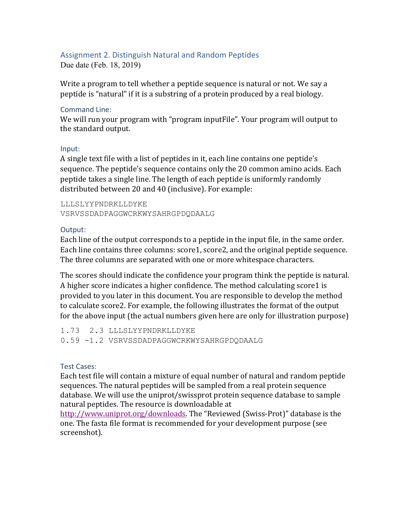## Assignment 2. Distinguish Natural and Random Peptides

Due date (Feb. 18, 2019)

Write a program to tell whether a peptide sequence is natural or not. We say a peptide is "natural" if it is a substring of a protein produced by a real biology.

#### Command Line:

We will run your program with "program inputFile". Your program will output to the standard output.

#### Input:

A single text file with a list of peptides in it, each line contains one peptide's sequence. The peptide's sequence contains only the 20 common amino acids. Each peptide takes a single line. The length of each peptide is uniformly randomly distributed between 20 and 40 (inclusive). For example:

LLLSLYYPNDRKLLDYKE VSRVSSDADPAGGWCRKWYSAHRGPDQDAALG

#### Output:

Each line of the output corresponds to a peptide in the input file, in the same order. Each line contains three columns: score1, score2, and the original peptide sequence. The three columns are separated with one or more whitespace characters.

The scores should indicate the confidence your program think the peptide is natural. A higher score indicates a higher confidence. The method calculating score1 is provided to you later in this document. You are responsible to develop the method to calculate score2. For example, the following illustrates the format of the output for the above input (the actual numbers given here are only for illustration purpose)

1.73 2.3 LLLSLYYPNDRKLLDYKE 0.59 -1.2 VSRVSSDADPAGGWCRKWYSAHRGPDQDAALG

#### Test Cases:

Each test file will contain a mixture of equal number of natural and random peptide sequences. The natural peptides will be sampled from a real protein sequence database. We will use the uniprot/swissprot protein sequence database to sample natural peptides. The resource is downloadable at

http://www.uniprot.org/downloads. The "Reviewed (Swiss-Prot)" database is the one. The fasta file format is recommended for your development purpose (see screenshot).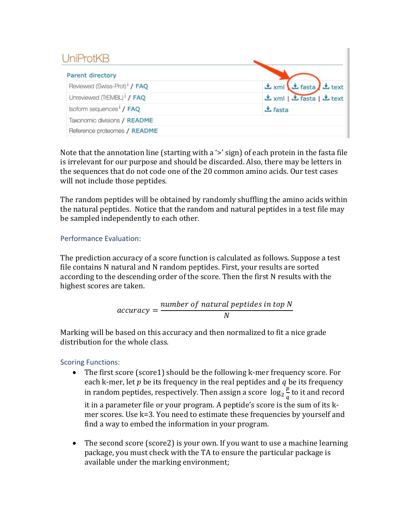# UniProtKB

| Parent directory                         |                               |
|------------------------------------------|-------------------------------|
| Reviewed (Swiss-Prot) <sup>1</sup> / FAQ | 소 xml 년 fasta 소 text          |
| Unreviewed (TrEMBL) <sup>1</sup> / FAQ   | 소 xml   上 fasta   上 text      |
| Isoform sequences <sup>1</sup> / FAQ     | $\mathbf{\mathbf{\pm}}$ fasta |
| Taxonomic divisions / README             |                               |
| Reference proteomes / README             |                               |

Note that the annotation line (starting with a ' $>$ ' sign) of each protein in the fasta file is irrelevant for our purpose and should be discarded. Also, there may be letters in the sequences that do not code one of the 20 common amino acids. Our test cases will not include those peptides.

The random peptides will be obtained by randomly shuffling the amino acids within the natural peptides. Notice that the random and natural peptides in a test file may be sampled independently to each other.

## Performance Evaluation:

The prediction accuracy of a score function is calculated as follows. Suppose a test file contains N natural and N random peptides. First, your results are sorted according to the descending order of the score. Then the first N results with the highest scores are taken.

$$
accuracy = \frac{number\ of\ natural\ peptides\ in\ top\ N}{N}
$$

Marking will be based on this accuracy and then normalized to fit a nice grade distribution for the whole class.

# Scoring Functions:

• The first score (score1) should be the following k-mer frequency score. For each k-mer, let  $p$  be its frequency in the real peptides and  $q$  be its frequency in random peptides, respectively. Then assign a score  $\log_2 \frac{p}{a}$  $\frac{p}{q}$  to it and record

it in a parameter file or your program. A peptide's score is the sum of its kmer scores. Use  $k=3$ . You need to estimate these frequencies by yourself and find a way to embed the information in your program.

• The second score (score2) is your own. If you want to use a machine learning package, you must check with the TA to ensure the particular package is available under the marking environment;